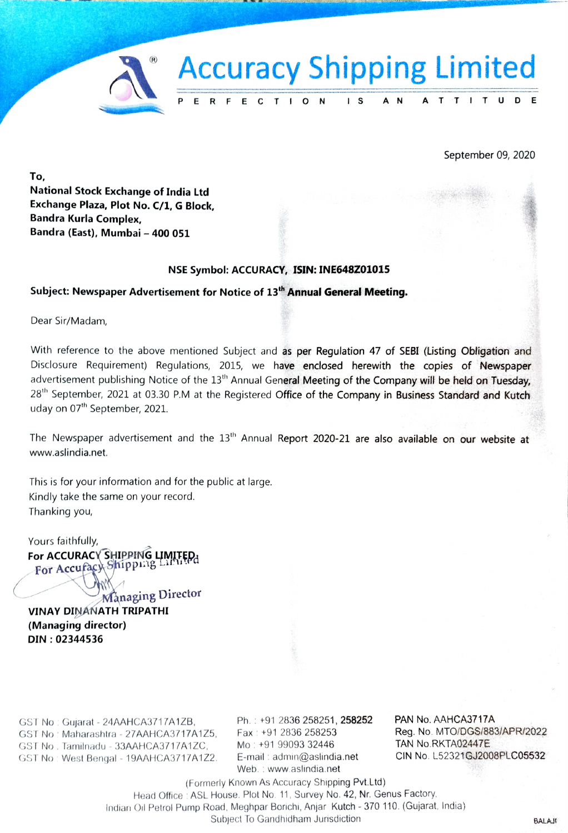

September 09, 2020

To, National Stock Exchange of India Ltd Exchange Plaza, Plot No. C/1, G Block, Bandra Kurla Complex, Bandra (East), Mumbai - 400 051

## NSE Symbol: ACCURACY, ISIN: INE648Z01015

## Subject: Newspaper Advertisement for Notice of 13<sup>th</sup> Annual General Meeting.

Dear Sir/Madam,

With reference to the above mentioned Subject and as per Regulation 47 of SEBI (Listing Obligation and Disclosure Requirement) Regulations, 2015, we have enclosed herewith the copies of Newspaper advertisement publishing Notice of the 13<sup>th</sup> Annual General Meeting of the Company will be held on Tuesday. 28<sup>th</sup> September, 2021 at 03.30 P.M at the Registered Office of the Company in Business Standard and Kutch uday on 07<sup>th</sup> September, 2021.

The Newspaper advertisement and the 13<sup>th</sup> Annual Report 2020-21 are also available on our website at www.aslindia.net.

This is for your information and for the public at large. Kindly take the same on your record. Thanking you,

Yours faithfully, For ACCURACY SHIPPING LIMITED.<br>For Accufacy Shipping Limited

Managing Director VINAY DINANATH TRIPATHI

(Managing director) DIN : 02344536

GST No : Gujarat - 24AAHCA3717A1ZB, Ph. : +91 2836 258251, 258252 PAN No. AAHCA3717A GST No: Maharashtra - 27AAHCA3717A1Z5, GST No: Tamilnadu - 33AAHCA3717A1ZC, GST No : West Bengal - 19AAHCA3717A1Z2.

Ph.: +91 2836 258251, 258252 Fax: +91 2836 258253 Mo: +91 99093 32446  $E$ -mail : admin@aslindia.net Web.: www.aslindia.net

Reg. No. MTO/DGS/883/APR/2022 TAN No. RKTA02447E CIN No. L52321GJ2008PLCO5532

(Formerly Known As Accuracy Shipping Pvt.Ltd) Head Office : ASL House. Plot No. 11, Survey No. 42, Nr. Genus Factory, Indian Oil Petrol Pump Road, Meghpar Borichi, Anjar Kutch - 370 110. (Gujarat, India) Subject To Gandhidham Jurisdiction **BALAJI**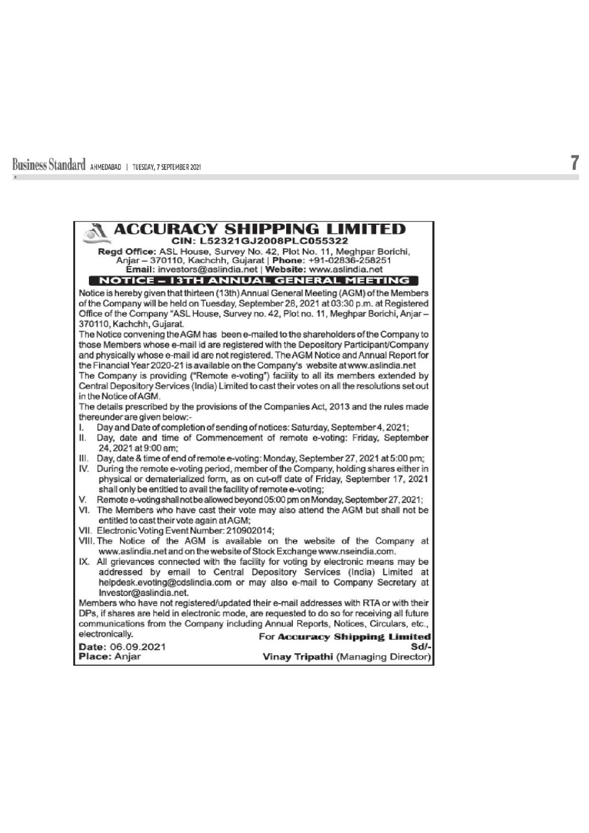## **BUSINESS Standard** AHMEDABAD | TUESDAY, 7 SEPTEMBER 2021